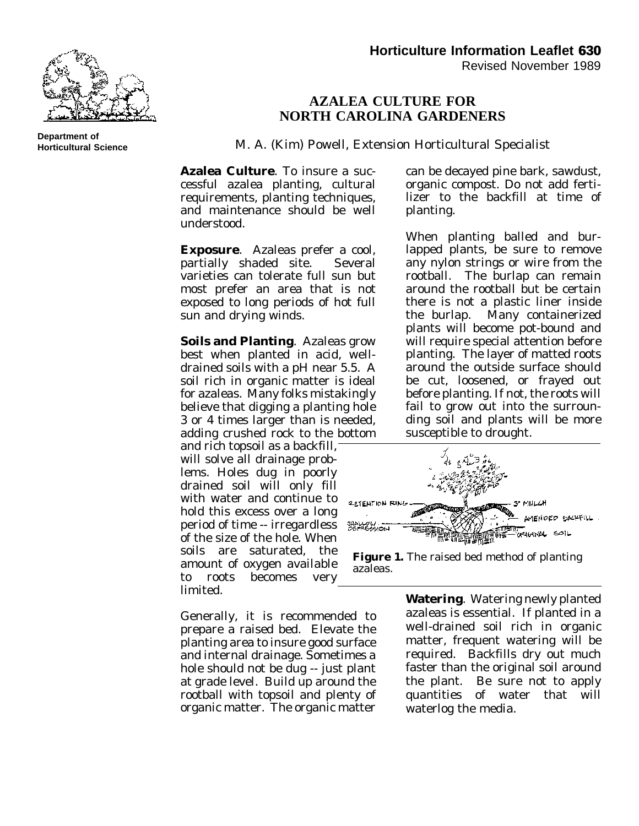

**Department of Horticultural Science**

## **AZALEA CULTURE FOR NORTH CAROLINA GARDENERS**

M. A. (Kim) Powell, Extension Horticultural Specialist

**Azalea Culture**. To insure a successful azalea planting, cultural requirements, planting techniques, and maintenance should be well understood.

**Exposure**. Azaleas prefer a cool, partially shaded site. Several varieties can tolerate full sun but most prefer an area that is not exposed to long periods of hot full sun and drying winds.

**Soils and Planting**. Azaleas grow best when planted in acid, welldrained soils with a pH near 5.5. A soil rich in organic matter is ideal for azaleas. Many folks mistakingly believe that digging a planting hole 3 or 4 times larger than is needed, adding crushed rock to the bottom

and rich topsoil as a backfill, will solve all drainage problems. Holes dug in poorly drained soil will only fill with water and continue to hold this excess over a long period of time -- irregardless of the size of the hole. When soils are saturated, the amount of oxygen available to roots becomes very limited.

Generally, it is recommended to prepare a raised bed. Elevate the planting area to insure good surface and internal drainage. Sometimes a hole should not be dug -- just plant at grade level. Build up around the rootball with topsoil and plenty of organic matter. The organic matter

can be decayed pine bark, sawdust, organic compost. Do not add fertilizer to the backfill at time of planting.

When planting balled and burlapped plants, be sure to remove any nylon strings or wire from the rootball. The burlap can remain around the rootball but be certain there is not a plastic liner inside the burlap. Many containerized plants will become pot-bound and will require special attention before planting. The layer of matted roots around the outside surface should be cut, loosened, or frayed out before planting. If not, the roots will fail to grow out into the surrounding soil and plants will be more susceptible to drought.



**Figure 1.** The raised bed method of planting azaleas.

**Watering**. Watering newly planted azaleas is essential. If planted in a well-drained soil rich in organic matter, frequent watering will be required. Backfills dry out much faster than the original soil around the plant. Be sure not to apply quantities of water that will waterlog the media.